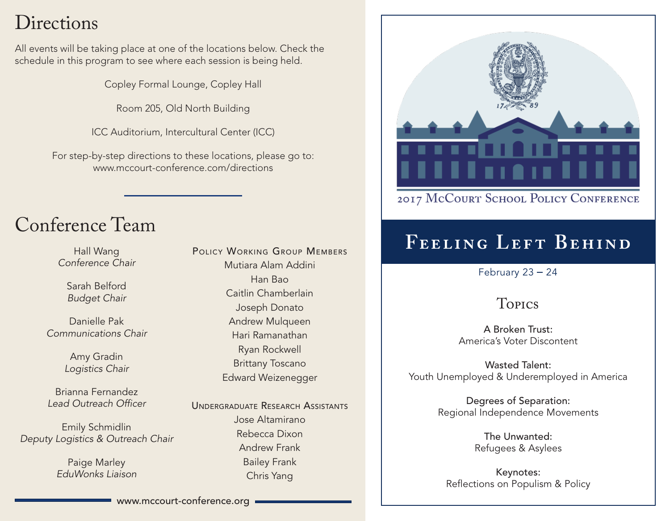# **Directions**

All events will be taking place at one of the locations below. Check the schedule in this program to see where each session is being held.

Copley Formal Lounge, Copley Hall

Room 205, Old North Building

ICC Auditorium, Intercultural Center (ICC)

For step-by-step directions to these locations, please go to: www.mccourt-conference.com/directions

# Conference Team

Hall Wang *Conference Chair*

Sarah Belford *Budget Chair*

Danielle Pak *Communications Chair*

> Amy Gradin *Logistics Chair*

Brianna Fernandez *Lead Outreach Officer*

Emily Schmidlin *Deputy Logistics & Outreach Chair*

> Paige Marley *EduWonks Liaison*

POLICY WORKING GROUP MEMBERS Mutiara Alam Addini Han Bao Caitlin Chamberlain Joseph Donato Andrew Mulqueen Hari Ramanathan Ryan Rockwell Brittany Toscano Edward Weizenegger

UNDERGRADUATE RESEARCH ASSISTANTS Jose Altamirano Rebecca Dixon Andrew Frank Bailey Frank Chris Yang



### 2017 McCOURT SCHOOL POLICY CONFERENCE

# **Feeling Left Behind**

February  $23 - 24$ 

## Topics

A Broken Trust: America's Voter Discontent

Wasted Talent: Youth Unemployed & Underemployed in America

> Degrees of Separation: Regional Independence Movements

> > The Unwanted: Refugees & Asylees

Keynotes: Reflections on Populism & Policy

www.mccourt-conference.org